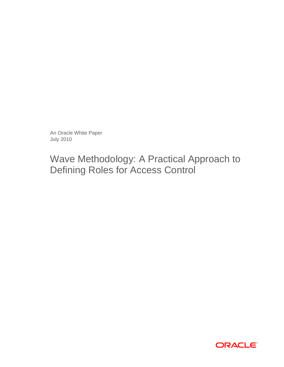An Oracle White Paper July 2010

Wave Methodology: A Practical Approach to Defining Roles for Access Control

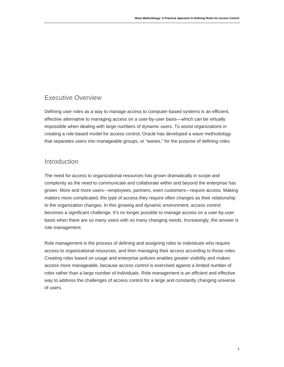# <span id="page-2-0"></span>Executive Overview

Defining user roles as a way to manage access to computer-based systems is an efficient, effective alternative to managing access on a user-by-user basis—which can be virtually impossible when dealing with large numbers of dynamic users. To assist organizations in creating a role-based model for access control, Oracle has developed a wave methodology that separates users into manageable groups, or "waves," for the purpose of defining roles.

## <span id="page-2-1"></span>**Introduction**

The need for access to organizational resources has grown dramatically in scope and complexity as the need to communicate and collaborate within and beyond the enterprise has grown. More and more users—employees, partners, even customers—require access. Making matters more complicated, the type of access they require often changes as their relationship to the organization changes. In this growing and dynamic environment, access control becomes a significant challenge. It's no longer possible to manage access on a user-by-user basis when there are so many users with so many changing needs. Increasingly, the answer is role management.

Role management is the process of defining and assigning roles to individuals who require access to organizational resources, and then managing their access according to those roles. Creating roles based on usage and enterprise policies enables greater visibility and makes access more manageable, because access control is exercised against a limited number of roles rather than a large number of individuals. Role management is an efficient and effective way to address the challenges of access control for a large and constantly changing universe of users.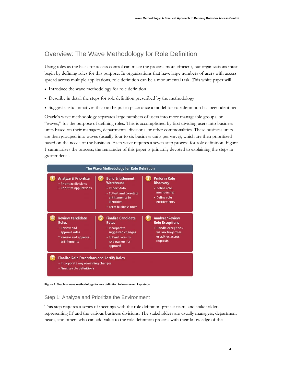# <span id="page-3-0"></span>Overview: The Wave Methodology for Role Definition

Using roles as the basis for access control can make the process more efficient, but organizations must begin by defining roles for this purpose. In organizations that have large numbers of users with access spread across multiple applications, role definition can be a monumental task. This white paper will

- Introduce the wave methodology for role definition
- Describe in detail the steps for role definition prescribed by the methodology
- Suggest useful initiatives that can be put in place once a model for role definition has been identified

Oracle's wave methodology separates large numbers of users into more manageable groups, or "waves," for the purpose of defining roles. This is accomplished by first dividing users into business units based on their managers, departments, divisions, or other commonalities. These business units are then grouped into waves (usually four to six business units per wave), which are then prioritized based on the needs of the business. Each wave requires a seven-step process for role definition. Figure 1 summarizes the process; the remainder of this paper is primarily devoted to explaining the steps in greater detail.



**Figure 1. Oracle's wave methodology for role definition follows seven key steps.** 

<span id="page-3-1"></span>Step 1: Analyze and Prioritize the Environment

This step requires a series of meetings with the role definition project team, and stakeholders representing IT and the various business divisions. The stakeholders are usually managers, department heads, and others who can add value to the role definition process with their knowledge of the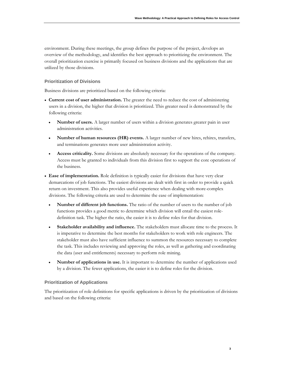environment. During these meetings, the group defines the purpose of the project, develops an overview of the methodology, and identifies the best approach to prioritizing the environment. The overall prioritization exercise is primarily focused on business divisions and the applications that are utilized by those divisions.

## **Prioritization of Divisions**

Business divisions are prioritized based on the following criteria:

- **Current cost of user administration.** The greater the need to reduce the cost of administering users in a division, the higher that division is prioritized. This greater need is demonstrated by the following criteria:
	- **Number of users.** A larger number of users within a division generates greater pain in user administration activities.
	- **Number of human resources (HR) events.** A larger number of new hires, rehires, transfers, and terminations generates more user administration activity.
	- **Access criticality.** Some divisions are absolutely necessary for the operations of the company. Access must be granted to individuals from this division first to support the core operations of the business.
- **Ease of implementation.** Role definition is typically easier for divisions that have very clear demarcations of job functions. The easiest divisions are dealt with first in order to provide a quick return on investment. This also provides useful experience when dealing with more-complex divisions. The following criteria are used to determine the ease of implementation:
	- **Number of different job functions.** The ratio of the number of users to the number of job functions provides a good metric to determine which division will entail the easiest roledefinition task. The higher the ratio, the easier it is to define roles for that division.
	- **Stakeholder availability and influence.** The stakeholders must allocate time to the process. It is imperative to determine the best months for stakeholders to work with role engineers. The stakeholder must also have sufficient influence to summon the resources necessary to complete the task. This includes reviewing and approving the roles, as well as gathering and coordinating the data (user and entitlements) necessary to perform role mining.
	- **Number of applications in use.** It is important to determine the number of applications used by a division. The fewer applications, the easier it is to define roles for the division.

## **Prioritization of Applications**

The prioritization of role definitions for specific applications is driven by the prioritization of divisions and based on the following criteria: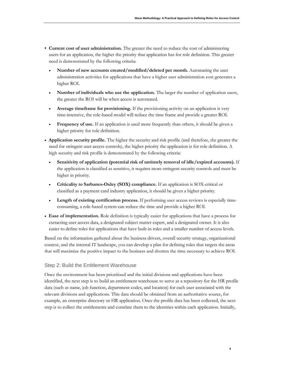- **Current cost of user administration.** The greater the need to reduce the cost of administering users for an application, the higher the priority that application has for role definition. This greater need is demonstrated by the following criteria:
	- **Number of new accounts created/modified/deleted per month.** Automating the user administration activities for applications that have a higher user administration cost generates a higher ROI.
	- **Number of individuals who use the application.** The larger the number of application users, the greater the ROI will be when access is automated.
	- **Average timeframe for provisioning.** If the provisioning activity on an application is very time-intensive, the role-based model will reduce the time frame and provide a greater ROI.
	- **Frequency of use.** If an application is used more frequently than others, it should be given a higher priority for role definition.
- **Application security profile.** The higher the security and risk profile (and therefore, the greater the need for stringent user access controls), the higher priority the application is for role definition. A high security and risk profile is demonstrated by the following criteria:
	- **Sensitivity of application (potential risk of untimely removal of idle/expired accounts).** If the application is classified as sensitive, it requires more-stringent security controls and must be higher in priority.
	- **Criticality to Sarbanes-Oxley (SOX) compliance.** If an application is SOX-critical or classified as a payment card industry application, it should be given a higher priority.
	- **Length of existing certification process.** If performing user access reviews is especially timeconsuming, a role-based system can reduce the time and provide a higher ROI.
- **Ease of implementation.** Role definition is typically easier for applications that have a process for extracting user access data, a designated subject matter expert, and a designated owner. It is also easier to define roles for applications that have built-in roles and a smaller number of access levels.

Based on the information gathered about the business drivers, overall security strategy, organizational context, and the internal IT landscape, you can develop a plan for defining roles that targets the areas that will maximize the positive impact to the business and shorten the time necessary to achieve ROI.

## <span id="page-5-0"></span>Step 2: Build the Entitlement Warehouse

Once the environment has been prioritized and the initial divisions and applications have been identified, the next step is to build an entitlement warehouse to serve as a repository for the HR profile data (such as name, job function, department codes, and location) for each user associated with the relevant divisions and applications. This data should be obtained from an authoritative source, for example, an enterprise directory or HR application. Once the profile data has been collected, the next step is to collect the entitlements and correlate them to the identities within each application. Initially,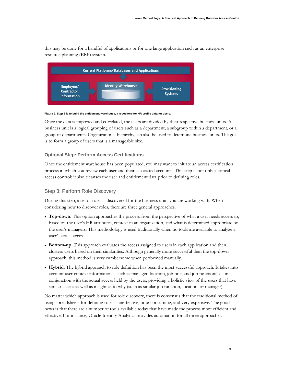this may be done for a handful of applications or for one large application such as an enterprise resource planning (ERP) system.



#### **Figure 2. Step 2 is to build the entitlement warehouse, a repository for HR profile data for users.**

Once the data is imported and correlated, the users are divided by their respective business units. A business unit is a logical grouping of users such as a department, a subgroup within a department, or a group of departments. Organizational hierarchy can also be used to determine business units. The goal is to form a group of users that is a manageable size.

## **Optional Step: Perform Access Certifications**

Once the entitlement warehouse has been populated, you may want to initiate an access certification process in which you review each user and their associated accounts. This step is not only a critical access control; it also cleanses the user and entitlement data prior to defining roles.

## <span id="page-6-0"></span>Step 3: Perform Role Discovery

During this step, a set of roles is discovered for the business units you are working with. When considering how to discover roles, there are three general approaches.

- **Top-down.** This option approaches the process from the perspective of what a user needs access to, based on the user's HR attributes, context in an organization, and what is determined appropriate by the user's managers. This methodology is used traditionally when no tools are available to analyze a user's actual access.
- **Bottom-up.** This approach evaluates the access assigned to users in each application and then clusters users based on their similarities. Although generally more successful than the top-down approach, this method is very cumbersome when performed manually.
- **Hybrid.** The hybrid approach to role definition has been the most successful approach. It takes into account user context information—such as manager, location, job title, and job function(s)—in conjunction with the actual access held by the users, providing a holistic view of the users that have similar access as well as insight as to why (such as similar job function, location, or manager).

No matter which approach is used for role discovery, there is consensus that the traditional method of using spreadsheets for defining roles is ineffective, time-consuming, and very expensive. The good news is that there are a number of tools available today that have made the process more efficient and effective. For instance, Oracle Identity Analytics provides automation for all three approaches.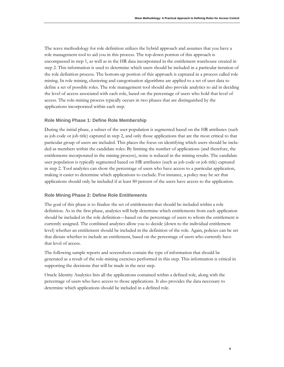The wave methodology for role definition utilizes the hybrid approach and assumes that you have a role management tool to aid you in this process. The top-down portion of this approach is encompassed in step 1, as well as in the HR data incorporated in the entitlement warehouse created in step 2. This information is used to determine which users should be included in a particular iteration of the role definition process. The bottom-up portion of this approach is captured in a process called role mining. In role mining, clustering and categorization algorithms are applied to a set of user data to define a set of possible roles. The role management tool should also provide analytics to aid in deciding the level of access associated with each role, based on the percentage of users who hold that level of access. The role-mining process typically occurs in two phases that are distinguished by the applications incorporated within each step.

#### **Role Mining Phase 1: Define Role Membership**

During the initial phase, a subset of the user population is segmented based on the HR attributes (such as job code or job title) captured in step 2, and only those applications that are the most critical to that particular group of users are included. This places the focus on identifying which users should be included as members within the candidate roles. By limiting the number of applications (and therefore, the entitlements incorporated in the mining process), noise is reduced in the mining results. The candidate user population is typically segmented based on HR attributes (such as job code or job title) captured in step 2. Tool analytics can show the percentage of users who have access to a particular application, making it easier to determine which applications to exclude. For instance, a policy may be set that applications should only be included if at least 80 percent of the users have access to the application.

#### **Role Mining Phase 2: Define Role Entitlements**

The goal of this phase is to finalize the set of entitlements that should be included within a role definition. As in the first phase, analytics will help determine which entitlements from each application should be included in the role definition—based on the percentage of users to whom the entitlement is currently assigned. The combined analytics allow you to decide (down to the individual entitlement level) whether an entitlement should be included in the definition of the role. Again, policies can be set that dictate whether to include an entitlement, based on the percentage of users who currently have that level of access.

The following sample reports and screenshots contain the type of information that should be generated as a result of the role-mining exercises performed in this step. This information is critical in supporting the decisions that will be made in the next step.

Oracle Identity Analytics lists all the applications contained within a defined role, along with the percentage of users who have access to those applications. It also provides the data necessary to determine which applications should be included in a defined role.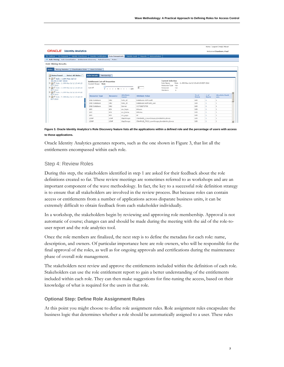|                                                                                                                                                                                      |                                                                                                              |                 |                          |                                                                                                                                                 |  |                      |                              | Home   Logout   Help  About  |  |
|--------------------------------------------------------------------------------------------------------------------------------------------------------------------------------------|--------------------------------------------------------------------------------------------------------------|-----------------|--------------------------|-------------------------------------------------------------------------------------------------------------------------------------------------|--|----------------------|------------------------------|------------------------------|--|
| <b>ORACLE</b> Identity Analytics                                                                                                                                                     |                                                                                                              |                 |                          |                                                                                                                                                 |  |                      | Welcome Chambers, Paul       |                              |  |
| My Settings   My Requests   Identity Warehouse                                                                                                                                       | <b>Identity Certification</b>                                                                                | Role Management |                          | Identity Audit   Reports   Administration                                                                                                       |  |                      |                              |                              |  |
| Role Mining   Role Consolidation   Entitlements Discovery   Rule Discovery   Rules                                                                                                   |                                                                                                              |                 |                          |                                                                                                                                                 |  |                      |                              |                              |  |
| <b>Role Mining Results</b>                                                                                                                                                           |                                                                                                              |                 |                          |                                                                                                                                                 |  |                      |                              |                              |  |
| Mining Statistics<br>Classification Rules<br><b>Roles</b>                                                                                                                            | Users In Roles                                                                                               |                 |                          |                                                                                                                                                 |  |                      |                              |                              |  |
|                                                                                                                                                                                      |                                                                                                              |                 |                          |                                                                                                                                                 |  |                      |                              |                              |  |
| Select All Roles $\Gamma$<br>Roles Found                                                                                                                                             | Role Details   Membership                                                                                    |                 |                          |                                                                                                                                                 |  |                      |                              |                              |  |
| 15:49:15 EDT 2010<br>B-28 □ Role: 2::RM-Mon Jul 12 15:49:15<br><b>EDT 2010</b><br>B C C Role : 3:: RM-Mon Jul 12 15:49:15<br>EDT 2010<br><b>B C</b> Role : 4::RM-Mon Jul 12 15:49:15 | <b>Entitlement Cut-off Properties</b><br>Current Scope Role<br>Cut-off<br>$\alpha$<br>$0 + 1 + 50 + 1 + 100$ |                 |                          | <b>Current Selection</b><br>Role Name<br>Role: 1::RM-Mon Jul 12 15:49:15 EDT 2010<br>Resource Type -na-<br>Resource<br>$-0.8 -$<br>Members<br>1 |  |                      |                              |                              |  |
|                                                                                                                                                                                      |                                                                                                              |                 |                          |                                                                                                                                                 |  |                      |                              |                              |  |
|                                                                                                                                                                                      | <b>Resource Type</b>                                                                                         | Resource        | <b>Attribute</b><br>Name | <b>Attribute Value</b>                                                                                                                          |  | % of<br><b>Users</b> | $\bar{x}$ of<br><b>Users</b> | <b>Absolute Rank</b><br>pos. |  |
|                                                                                                                                                                                      | DB2 Database                                                                                                 | DB <sub>2</sub> | Role Id                  | Databases:AIM:publi                                                                                                                             |  | 100                  | ı                            | 1                            |  |
|                                                                                                                                                                                      | DB2 Database                                                                                                 | DB2             | Role_Id                  | Databases:AIM:aim_use                                                                                                                           |  | 100                  |                              | 1                            |  |
|                                                                                                                                                                                      | DB2 Database                                                                                                 | DB <sub>2</sub> | Server                   | CCTDBETST00                                                                                                                                     |  | 100                  | ı                            | 1                            |  |
|                                                                                                                                                                                      | AIX                                                                                                          | AIX             | aix_login                | drtauru                                                                                                                                         |  | 100                  | ٠                            |                              |  |
|                                                                                                                                                                                      | AIX                                                                                                          | AIX             | aix home                 | drtinma                                                                                                                                         |  | 100                  | ×.                           | 1                            |  |
|                                                                                                                                                                                      | AIX                                                                                                          | AIX             | aix_pgrp                 | AI                                                                                                                                              |  | 100                  | 1                            | 1                            |  |
| <b>EDT 2010</b><br>B-12   Role: 5::RM-Mon Jul 12 15:49:15<br>EDT 2010                                                                                                                | LDAP                                                                                                         | LDAP            | IdapGroups               | CN=BAND_2.ou=Groups.dc=identric.dc=co                                                                                                           |  | 100                  | x                            | 1                            |  |

**Figure 3. Oracle Identity Analytics's Role Discovery feature lists all the applications within a defined role and the percentage of users with access to those applications.** 

Oracle Identity Analytics generates reports, such as the one shown in Figure 3, that list all the entitlements encompassed within each role.

## <span id="page-8-0"></span>Step 4: Review Roles

During this step, the stakeholders identified in step 1 are asked for their feedback about the role definitions created so far. These review meetings are sometimes referred to as workshops and are an important component of the wave methodology. In fact, the key to a successful role definition strategy is to ensure that all stakeholders are involved in the review process. But because roles can contain access or entitlements from a number of applications across disparate business units, it can be extremely difficult to obtain feedback from each stakeholder individually.

In a workshop, the stakeholders begin by reviewing and approving role membership. Approval is not automatic of course; changes can and should be made during the meeting with the aid of the role-touser report and the role analytics tool.

Once the role members are finalized, the next step is to define the metadata for each role: name, description, and owners. Of particular importance here are role owners, who will be responsible for the final approval of the roles, as well as for ongoing approvals and certifications during the maintenance phase of overall role management.

The stakeholders next review and approve the entitlements included within the definition of each role. Stakeholders can use the role entitlement report to gain a better understanding of the entitlements included within each role. They can then make suggestions for fine-tuning the access, based on their knowledge of what is required for the users in that role.

#### **Optional Step: Define Role Assignment Rules**

At this point you might choose to define role assignment rules. Role assignment rules encapsulate the business logic that determines whether a role should be automatically assigned to a user. These rules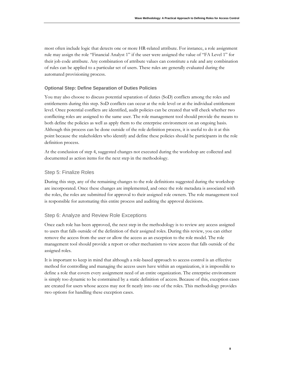most often include logic that detects one or more HR-related attribute. For instance, a role assignment rule may assign the role "Financial Analyst 1" if the user were assigned the value of "FA Level 1" for their job code attribute. Any combination of attribute values can constitute a rule and any combination of rules can be applied to a particular set of users. These rules are generally evaluated during the automated provisioning process.

## **Optional Step: Define Separation of Duties Policies**

You may also choose to discuss potential separation of duties (SoD) conflicts among the roles and entitlements during this step. SoD conflicts can occur at the role level or at the individual entitlement level. Once potential conflicts are identified, audit policies can be created that will check whether two conflicting roles are assigned to the same user. The role management tool should provide the means to both define the policies as well as apply them to the enterprise environment on an ongoing basis. Although this process can be done outside of the role definition process, it is useful to do it at this point because the stakeholders who identify and define these policies should be participants in the role definition process.

At the conclusion of step 4, suggested changes not executed during the workshop are collected and documented as action items for the next step in the methodology.

## <span id="page-9-0"></span>Step 5: Finalize Roles

During this step, any of the remaining changes to the role definitions suggested during the workshop are incorporated. Once these changes are implemented, and once the role metadata is associated with the roles, the roles are submitted for approval to their assigned role owners. The role management tool is responsible for automating this entire process and auditing the approval decisions.

## <span id="page-9-1"></span>Step 6: Analyze and Review Role Exceptions

Once each role has been approved, the next step in the methodology is to review any access assigned to users that falls outside of the definition of their assigned roles. During this review, you can either remove the access from the user or allow the access as an exception to the role model. The role management tool should provide a report or other mechanism to view access that falls outside of the assigned roles.

It is important to keep in mind that although a role-based approach to access control is an effective method for controlling and managing the access users have within an organization, it is impossible to define a role that covers every assignment need of an entire organization. The enterprise environment is simply too dynamic to be constrained by a static definition of access. Because of this, exception cases are created for users whose access may not fit neatly into one of the roles. This methodology provides two options for handling these exception cases.

**8**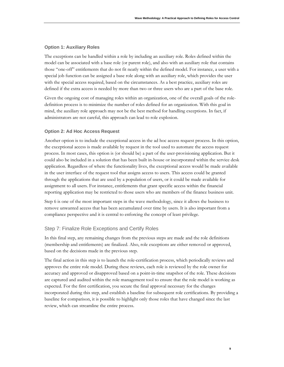## **Option 1: Auxiliary Roles**

The exceptions can be handled within a role by including an auxiliary role. Roles defined within the model can be associated with a base role (or parent role), and also with an auxiliary role that contains those "one-off" entitlements that do not fit neatly within the defined model. For instance, a user with a special job function can be assigned a base role along with an auxiliary role, which provides the user with the special access required, based on the circumstances. As a best practice, auxiliary roles are defined if the extra access is needed by more than two or three users who are a part of the base role.

Given the ongoing cost of managing roles within an organization, one of the overall goals of the roledefinition process is to minimize the number of roles defined for an organization. With this goal in mind, the auxiliary role approach may not be the best method for handling exceptions. In fact, if administrators are not careful, this approach can lead to role explosion.

## **Option 2: Ad Hoc Access Request**

Another option is to include the exceptional access in the ad hoc access request process. In this option, the exceptional access is made available by request in the tool used to automate the access request process. In most cases, this option is (or should be) a part of the user-provisioning application. But it could also be included in a solution that has been built in-house or incorporated within the service desk application. Regardless of where the functionality lives, the exceptional access would be made available in the user interface of the request tool that assigns access to users. This access could be granted through the applications that are used by a population of users, or it could be made available for assignment to all users. For instance, entitlements that grant specific access within the financial reporting application may be restricted to those users who are members of the finance business unit.

Step 6 is one of the most important steps in the wave methodology, since it allows the business to remove unwanted access that has been accumulated over time by users. It is also important from a compliance perspective and it is central to enforcing the concept of least privilege.

## <span id="page-10-0"></span>Step 7: Finalize Role Exceptions and Certify Roles

In this final step, any remaining changes from the previous steps are made and the role definitions (membership and entitlements) are finalized. Also, role exceptions are either removed or approved, based on the decisions made in the previous step.

The final action in this step is to launch the role-certification process, which periodically reviews and approves the entire role model. During these reviews, each role is reviewed by the role owner for accuracy and approved or disapproved based on a point-in-time snapshot of the role. These decisions are captured and audited within the role management tool to ensure that the role model is working as expected. For the first certification, you secure the final approval necessary for the changes incorporated during this step, and establish a baseline for subsequent role certifications. By providing a baseline for comparison, it is possible to highlight only those roles that have changed since the last review, which can streamline the entire process.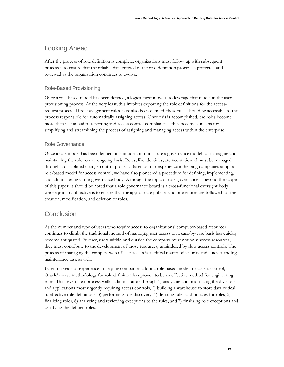## <span id="page-11-0"></span>Looking Ahead

After the process of role definition is complete, organizations must follow up with subsequent processes to ensure that the reliable data entered in the role-definition process is protected and reviewed as the organization continues to evolve.

## <span id="page-11-1"></span>Role-Based Provisioning

Once a role-based model has been defined, a logical next move is to leverage that model in the userprovisioning process. At the very least, this involves exporting the role definitions for the accessrequest process. If role assignment rules have also been defined, these rules should be accessible to the process responsible for automatically assigning access. Once this is accomplished, the roles become more than just an aid to reporting and access control compliance—they become a means for simplifying and streamlining the process of assigning and managing access within the enterprise.

## <span id="page-11-2"></span>Role Governance

Once a role model has been defined, it is important to institute a governance model for managing and maintaining the roles on an ongoing basis. Roles, like identities, are not static and must be managed through a disciplined change-control process. Based on our experience in helping companies adopt a role-based model for access control, we have also pioneered a procedure for defining, implementing, and administering a role-governance body. Although the topic of role governance is beyond the scope of this paper, it should be noted that a role governance board is a cross-functional oversight body whose primary objective is to ensure that the appropriate policies and procedures are followed for the creation, modification, and deletion of roles.

## <span id="page-11-3"></span>**Conclusion**

As the number and type of users who require access to organizations' computer-based resources continues to climb, the traditional method of managing user access on a case-by-case basis has quickly become antiquated. Further, users within and outside the company must not only access resources, they must contribute to the development of those resources, unhindered by slow access controls. The process of managing the complex web of user access is a critical matter of security and a never-ending maintenance task as well.

Based on years of experience in helping companies adopt a role-based model for access control, Oracle's wave methodology for role definition has proven to be an effective method for engineering roles. This seven-step process walks administrators through 1) analyzing and prioritizing the divisions and applications most urgently requiring access controls, 2) building a warehouse to store data critical to effective role definitions, 3) performing role discovery, 4) defining rules and policies for roles, 5) finalizing roles, 6) analyzing and reviewing exceptions to the rules, and 7) finalizing role exceptions and certifying the defined roles.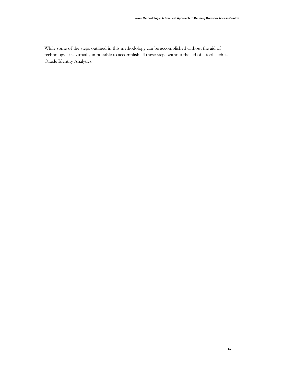While some of the steps outlined in this methodology can be accomplished without the aid of technology, it is virtually impossible to accomplish all these steps without the aid of a tool such as Oracle Identity Analytics.